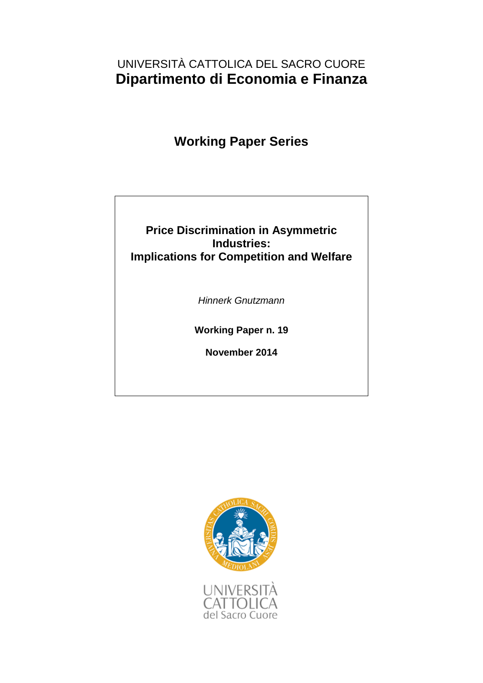# UNIVERSITÀ CATTOLICA DEL SACRO CUORE **Dipartimento di Economia e Finanza**

**Working Paper Series**

## **Price Discrimination in Asymmetric Industries: Implications for Competition and Welfare**

*Hinnerk Gnutzmann*

**Working Paper n. 19**

**November 2014**

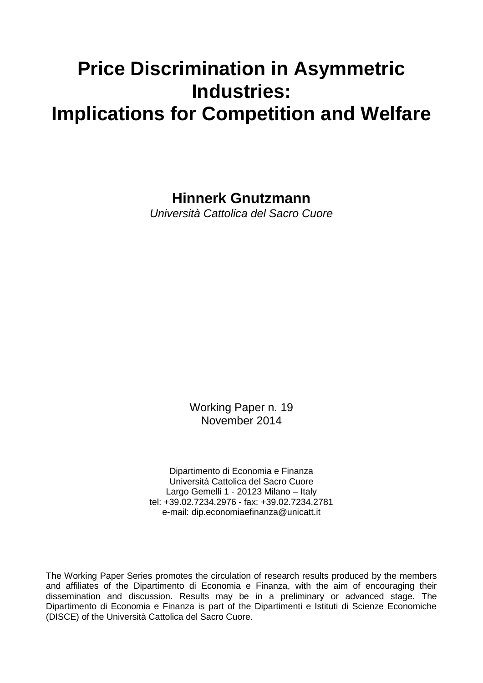# **Price Discrimination in Asymmetric Industries: Implications for Competition and Welfare**

**Hinnerk Gnutzmann**

*Università Cattolica del Sacro Cuore*

Working Paper n. 19 November 2014

Dipartimento di Economia e Finanza Università Cattolica del Sacro Cuore Largo Gemelli 1 - 20123 Milano – Italy tel: +39.02.7234.2976 - fax: +39.02.7234.2781 e-mail: dip.economiaefinanza@unicatt.it

The Working Paper Series promotes the circulation of research results produced by the members and affiliates of the Dipartimento di Economia e Finanza, with the aim of encouraging their dissemination and discussion. Results may be in a preliminary or advanced stage. The Dipartimento di Economia e Finanza is part of the Dipartimenti e Istituti di Scienze Economiche (DISCE) of the Università Cattolica del Sacro Cuore.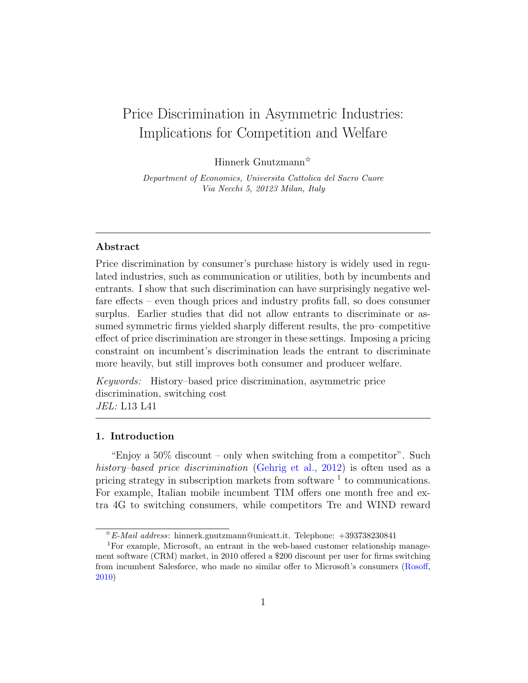# Price Discrimination in Asymmetric Industries: Implications for Competition and Welfare

Hinnerk Gnutzmann✩

Department of Economics, Universita Cattolica del Sacro Cuore Via Necchi 5, 20123 Milan, Italy

## Abstract

Price discrimination by consumer's purchase history is widely used in regulated industries, such as communication or utilities, both by incumbents and entrants. I show that such discrimination can have surprisingly negative welfare effects – even though prices and industry profits fall, so does consumer surplus. Earlier studies that did not allow entrants to discriminate or assumed symmetric firms yielded sharply different results, the pro–competitive effect of price discrimination are stronger in these settings. Imposing a pricing constraint on incumbent's discrimination leads the entrant to discriminate more heavily, but still improves both consumer and producer welfare.

Keywords: History–based price discrimination, asymmetric price discrimination, switching cost JEL: L13 L41

#### 1. Introduction

"Enjoy a 50% discount – only when switching from a competitor". Such history–based price discrimination [\(Gehrig et al.,](#page-18-0) [2012\)](#page-18-0) is often used as a pricing strategy in subscription markets from software  $<sup>1</sup>$  to communications.</sup> For example, Italian mobile incumbent TIM offers one month free and extra 4G to switching consumers, while competitors Tre and WIND reward

 $*E$ -Mail address: hinnerk.gnutzmann@unicatt.it. Telephone: +393738230841

<sup>1</sup>For example, Microsoft, an entrant in the web-based customer relationship management software (CRM) market, in 2010 offered a \$200 discount per user for firms switching from incumbent Salesforce, who made no similar offer to Microsoft's consumers [\(Rosoff,](#page-19-0) [2010\)](#page-19-0)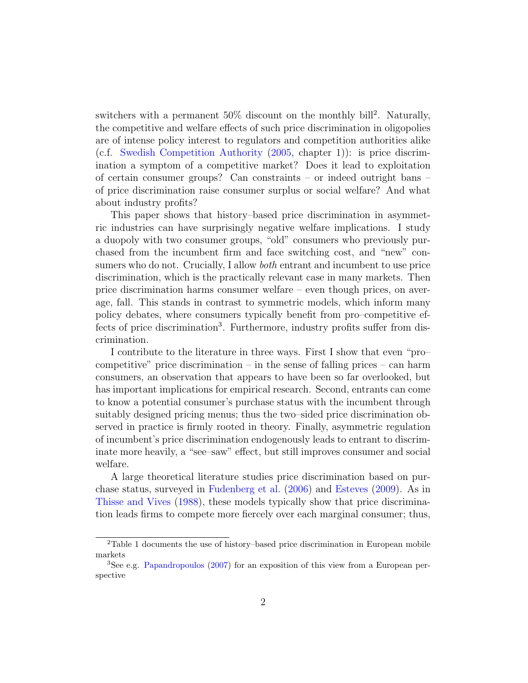switchers with a permanent  $50\%$  discount on the monthly bill<sup>2</sup>. Naturally, the competitive and welfare effects of such price discrimination in oligopolies are of intense policy interest to regulators and competition authorities alike (c.f. [Swedish Competition Authority](#page-19-1) [\(2005,](#page-19-1) chapter 1)): is price discrimination a symptom of a competitive market? Does it lead to exploitation of certain consumer groups? Can constraints – or indeed outright bans – of price discrimination raise consumer surplus or social welfare? And what about industry profits?

This paper shows that history–based price discrimination in asymmetric industries can have surprisingly negative welfare implications. I study a duopoly with two consumer groups, "old" consumers who previously purchased from the incumbent firm and face switching cost, and "new" consumers who do not. Crucially, I allow both entrant and incumbent to use price discrimination, which is the practically relevant case in many markets. Then price discrimination harms consumer welfare – even though prices, on average, fall. This stands in contrast to symmetric models, which inform many policy debates, where consumers typically benefit from pro–competitive effects of price discrimination<sup>3</sup>. Furthermore, industry profits suffer from discrimination.

I contribute to the literature in three ways. First I show that even "pro– competitive" price discrimination – in the sense of falling prices – can harm consumers, an observation that appears to have been so far overlooked, but has important implications for empirical research. Second, entrants can come to know a potential consumer's purchase status with the incumbent through suitably designed pricing menus; thus the two–sided price discrimination observed in practice is firmly rooted in theory. Finally, asymmetric regulation of incumbent's price discrimination endogenously leads to entrant to discriminate more heavily, a "see–saw" effect, but still improves consumer and social welfare.

A large theoretical literature studies price discrimination based on purchase status, surveyed in [Fudenberg et al.](#page-18-1) [\(2006\)](#page-18-1) and [Esteves](#page-18-2) [\(2009\)](#page-18-2). As in [Thisse and Vives](#page-19-2) [\(1988\)](#page-19-2), these models typically show that price discrimination leads firms to compete more fiercely over each marginal consumer; thus,

<sup>2</sup>Table 1 documents the use of history–based price discrimination in European mobile markets

<sup>3</sup>See e.g. [Papandropoulos](#page-19-3) [\(2007\)](#page-19-3) for an exposition of this view from a European perspective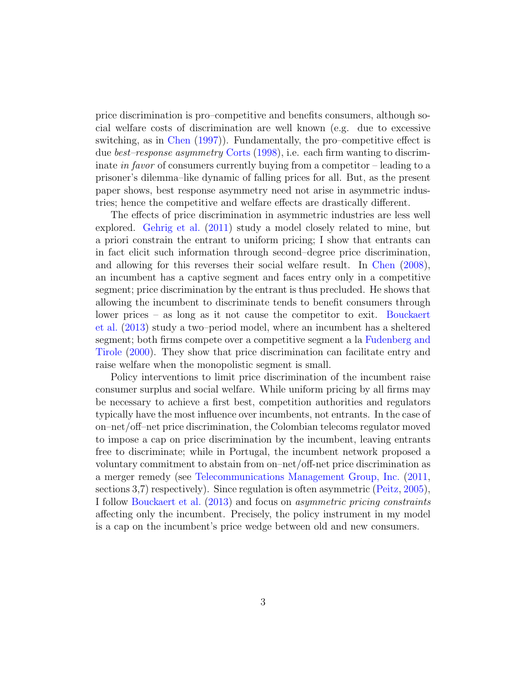price discrimination is pro–competitive and benefits consumers, although social welfare costs of discrimination are well known (e.g. due to excessive switching, as in [Chen](#page-17-0) [\(1997\)](#page-17-0)). Fundamentally, the pro–competitive effect is due best–response asymmetry [Corts](#page-18-3) [\(1998\)](#page-18-3), i.e. each firm wanting to discriminate in favor of consumers currently buying from a competitor – leading to a prisoner's dilemma–like dynamic of falling prices for all. But, as the present paper shows, best response asymmetry need not arise in asymmetric industries; hence the competitive and welfare effects are drastically different.

The effects of price discrimination in asymmetric industries are less well explored. [Gehrig et al.](#page-18-4) [\(2011\)](#page-18-4) study a model closely related to mine, but a priori constrain the entrant to uniform pricing; I show that entrants can in fact elicit such information through second–degree price discrimination, and allowing for this reverses their social welfare result. In [Chen](#page-17-1) [\(2008\)](#page-17-1), an incumbent has a captive segment and faces entry only in a competitive segment; price discrimination by the entrant is thus precluded. He shows that allowing the incumbent to discriminate tends to benefit consumers through lower prices – as long as it not cause the competitor to exit. [Bouckaert](#page-17-2) [et al.](#page-17-2) [\(2013\)](#page-17-2) study a two–period model, where an incumbent has a sheltered segment; both firms compete over a competitive segment a la [Fudenberg and](#page-18-5) [Tirole](#page-18-5) [\(2000\)](#page-18-5). They show that price discrimination can facilitate entry and raise welfare when the monopolistic segment is small.

Policy interventions to limit price discrimination of the incumbent raise consumer surplus and social welfare. While uniform pricing by all firms may be necessary to achieve a first best, competition authorities and regulators typically have the most influence over incumbents, not entrants. In the case of on–net/off–net price discrimination, the Colombian telecoms regulator moved to impose a cap on price discrimination by the incumbent, leaving entrants free to discriminate; while in Portugal, the incumbent network proposed a voluntary commitment to abstain from on–net/off-net price discrimination as a merger remedy (see [Telecommunications Management Group, Inc.](#page-19-4) [\(2011,](#page-19-4) sections 3,7) respectively). Since regulation is often asymmetric [\(Peitz,](#page-19-5) [2005\)](#page-19-5), I follow [Bouckaert et al.](#page-17-2) [\(2013\)](#page-17-2) and focus on asymmetric pricing constraints affecting only the incumbent. Precisely, the policy instrument in my model is a cap on the incumbent's price wedge between old and new consumers.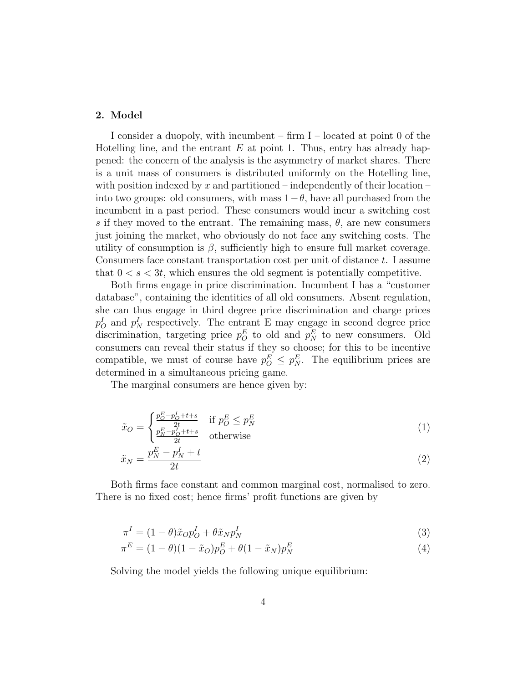#### 2. Model

I consider a duopoly, with incumbent – firm I – located at point 0 of the Hotelling line, and the entrant  $E$  at point 1. Thus, entry has already happened: the concern of the analysis is the asymmetry of market shares. There is a unit mass of consumers is distributed uniformly on the Hotelling line, with position indexed by x and partitioned – independently of their location – into two groups: old consumers, with mass  $1-\theta$ , have all purchased from the incumbent in a past period. These consumers would incur a switching cost s if they moved to the entrant. The remaining mass,  $\theta$ , are new consumers just joining the market, who obviously do not face any switching costs. The utility of consumption is  $\beta$ , sufficiently high to ensure full market coverage. Consumers face constant transportation cost per unit of distance  $t$ . I assume that  $0 \lt s \lt 3t$ , which ensures the old segment is potentially competitive.

Both firms engage in price discrimination. Incumbent I has a "customer database", containing the identities of all old consumers. Absent regulation, she can thus engage in third degree price discrimination and charge prices  $p_O^I$  and  $p_N^I$  respectively. The entrant E may engage in second degree price discrimination, targeting price  $p_O^E$  to old and  $p_N^E$  to new consumers. Old consumers can reveal their status if they so choose; for this to be incentive compatible, we must of course have  $p_O^E \n\leq p_N^E$ . The equilibrium prices are determined in a simultaneous pricing game.

The marginal consumers are hence given by:

<span id="page-5-2"></span>
$$
\tilde{x}_O = \begin{cases}\n\frac{p_O^E - p_O^I + t + s}{2t} & \text{if } p_O^E \le p_N^E \\
\frac{p_N^E - p_O^I + t + s}{2t} & \text{otherwise}\n\end{cases} \tag{1}
$$

<span id="page-5-3"></span>
$$
\tilde{x}_N = \frac{p_N^E - p_N^I + t}{2t} \tag{2}
$$

Both firms face constant and common marginal cost, normalised to zero. There is no fixed cost; hence firms' profit functions are given by

<span id="page-5-1"></span><span id="page-5-0"></span>
$$
\pi^I = (1 - \theta)\tilde{x}_O p_O^I + \theta \tilde{x}_N p_N^I \tag{3}
$$

$$
\pi^{E} = (1 - \theta)(1 - \tilde{x}_O)p_O^E + \theta(1 - \tilde{x}_N)p_N^E
$$
\n(4)

Solving the model yields the following unique equilibrium: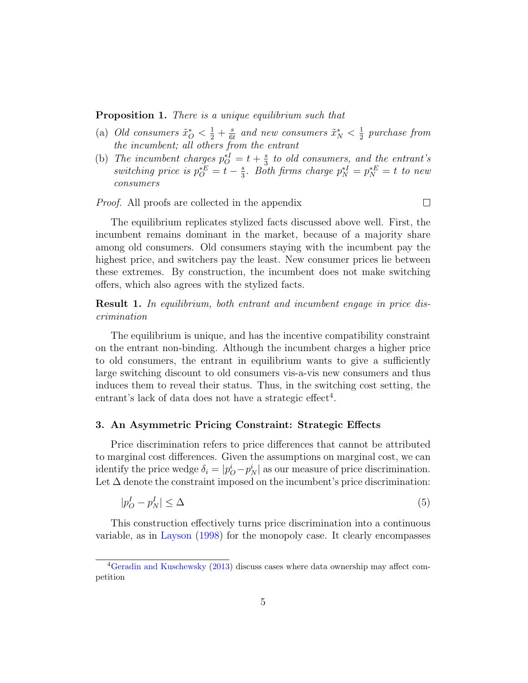<span id="page-6-0"></span>**Proposition 1.** There is a unique equilibrium such that

- (a) Old consumers  $\tilde{x}_O^* < \frac{1}{2} + \frac{s}{68}$  $\frac{s}{6t}$  and new consumers  $\tilde{x}_{N}^{*} < \frac{1}{2}$  $\frac{1}{2}$  purchase from the incumbent; all others from the entrant
- (b) The incumbent charges  $p_O^{*I} = t + \frac{s}{3}$  $\frac{s}{3}$  to old consumers, and the entrant's switching price is  $p_O^{\ast E} = t - \frac{s}{3}$  $\frac{s}{3}$ . Both firms charge  $p_N^{*I} = p_N^{*E} = t$  to new consumers

Proof. All proofs are collected in the appendix

 $\Box$ 

The equilibrium replicates stylized facts discussed above well. First, the incumbent remains dominant in the market, because of a majority share among old consumers. Old consumers staying with the incumbent pay the highest price, and switchers pay the least. New consumer prices lie between these extremes. By construction, the incumbent does not make switching offers, which also agrees with the stylized facts.

<span id="page-6-1"></span>Result 1. In equilibrium, both entrant and incumbent engage in price discrimination

The equilibrium is unique, and has the incentive compatibility constraint on the entrant non-binding. Although the incumbent charges a higher price to old consumers, the entrant in equilibrium wants to give a sufficiently large switching discount to old consumers vis-a-vis new consumers and thus induces them to reveal their status. Thus, in the switching cost setting, the entrant's lack of data does not have a strategic effect<sup>4</sup>.

#### 3. An Asymmetric Pricing Constraint: Strategic Effects

Price discrimination refers to price differences that cannot be attributed to marginal cost differences. Given the assumptions on marginal cost, we can identify the price wedge  $\delta_i = |p_O^i - p_N^i|$  as our measure of price discrimination. Let  $\Delta$  denote the constraint imposed on the incumbent's price discrimination:

$$
|p_O^I - p_N^I| \le \Delta \tag{5}
$$

This construction effectively turns price discrimination into a continuous variable, as in [Layson](#page-19-6) [\(1998\)](#page-19-6) for the monopoly case. It clearly encompasses

<sup>4</sup>[Geradin and Kuschewsky](#page-18-6) [\(2013\)](#page-18-6) discuss cases where data ownership may affect competition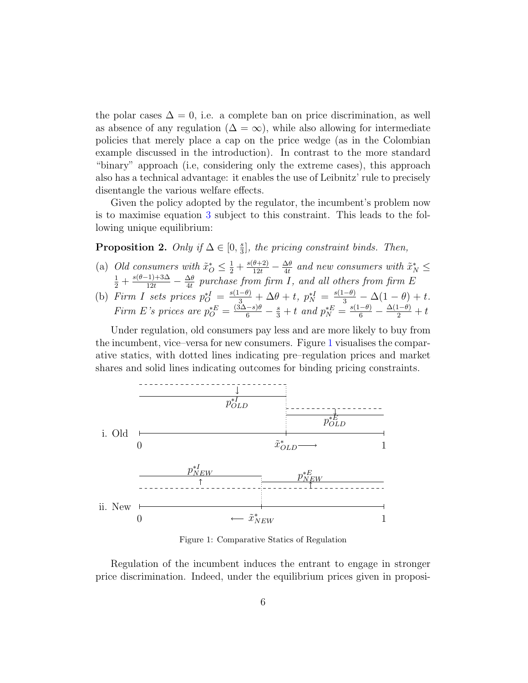the polar cases  $\Delta = 0$ , i.e. a complete ban on price discrimination, as well as absence of any regulation ( $\Delta = \infty$ ), while also allowing for intermediate policies that merely place a cap on the price wedge (as in the Colombian example discussed in the introduction). In contrast to the more standard "binary" approach (i.e, considering only the extreme cases), this approach also has a technical advantage: it enables the use of Leibnitz' rule to precisely disentangle the various welfare effects.

Given the policy adopted by the regulator, the incumbent's problem now is to maximise equation [3](#page-5-0) subject to this constraint. This leads to the following unique equilibrium:

<span id="page-7-1"></span>Proposition 2. Only if  $\Delta \in [0, \frac{1}{3}]$  $\frac{s}{3}$ , the pricing constraint binds. Then,

- (a) Old consumers with  $\tilde{x}_O^* \leq \frac{1}{2} + \frac{s(\theta+2)}{12t} \frac{\Delta\theta}{4t}$  $\frac{\Delta\theta}{4t}$  and new consumers with  $\tilde{x}_{N}^{*} \leq$  $rac{1}{2} + \frac{s(\theta-1)+3\Delta}{12t} - \frac{\Delta\theta}{4t}$  $\frac{\Delta\theta}{4t}$  purchase from firm I, and all others from firm E
- (b) Firm I sets prices  $p_O^* = \frac{s(1-\theta)}{3} + \Delta\theta + t$ ,  $p_N^* = \frac{s(1-\theta)}{3} \Delta(1-\theta) + t$ . Firm E's prices are  $p_O^* = \frac{(3\Delta - s)\theta}{6} - \frac{s}{3} + t$  and  $p_N^* = \frac{s(1-\theta)}{6} - \frac{\Delta(1-\theta)}{2} + t$

Under regulation, old consumers pay less and are more likely to buy from the incumbent, vice–versa for new consumers. Figure [1](#page-7-0) visualises the comparative statics, with dotted lines indicating pre–regulation prices and market shares and solid lines indicating outcomes for binding pricing constraints.

<span id="page-7-0"></span>

Figure 1: Comparative Statics of Regulation

Regulation of the incumbent induces the entrant to engage in stronger price discrimination. Indeed, under the equilibrium prices given in proposi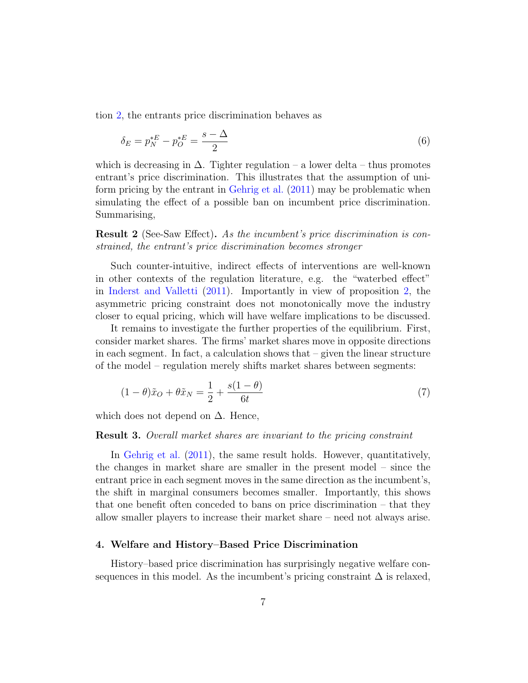tion [2,](#page-7-1) the entrants price discrimination behaves as

$$
\delta_E = p_N^* - p_O^* = \frac{s - \Delta}{2} \tag{6}
$$

which is decreasing in  $\Delta$ . Tighter regulation – a lower delta – thus promotes entrant's price discrimination. This illustrates that the assumption of uniform pricing by the entrant in [Gehrig et al.](#page-18-4) [\(2011\)](#page-18-4) may be problematic when simulating the effect of a possible ban on incumbent price discrimination. Summarising,

<span id="page-8-0"></span>Result 2 (See-Saw Effect). As the incumbent's price discrimination is constrained, the entrant's price discrimination becomes stronger

Such counter-intuitive, indirect effects of interventions are well-known in other contexts of the regulation literature, e.g. the "waterbed effect" in [Inderst and Valletti](#page-18-7) [\(2011\)](#page-18-7). Importantly in view of proposition [2,](#page-7-1) the asymmetric pricing constraint does not monotonically move the industry closer to equal pricing, which will have welfare implications to be discussed.

It remains to investigate the further properties of the equilibrium. First, consider market shares. The firms' market shares move in opposite directions in each segment. In fact, a calculation shows that – given the linear structure of the model – regulation merely shifts market shares between segments:

$$
(1 - \theta)\tilde{x}_O + \theta \tilde{x}_N = \frac{1}{2} + \frac{s(1 - \theta)}{6t} \tag{7}
$$

which does not depend on  $\Delta$ . Hence,

#### Result 3. Overall market shares are invariant to the pricing constraint

In [Gehrig et al.](#page-18-4) [\(2011\)](#page-18-4), the same result holds. However, quantitatively, the changes in market share are smaller in the present model – since the entrant price in each segment moves in the same direction as the incumbent's, the shift in marginal consumers becomes smaller. Importantly, this shows that one benefit often conceded to bans on price discrimination – that they allow smaller players to increase their market share – need not always arise.

#### 4. Welfare and History–Based Price Discrimination

History–based price discrimination has surprisingly negative welfare consequences in this model. As the incumbent's pricing constraint  $\Delta$  is relaxed,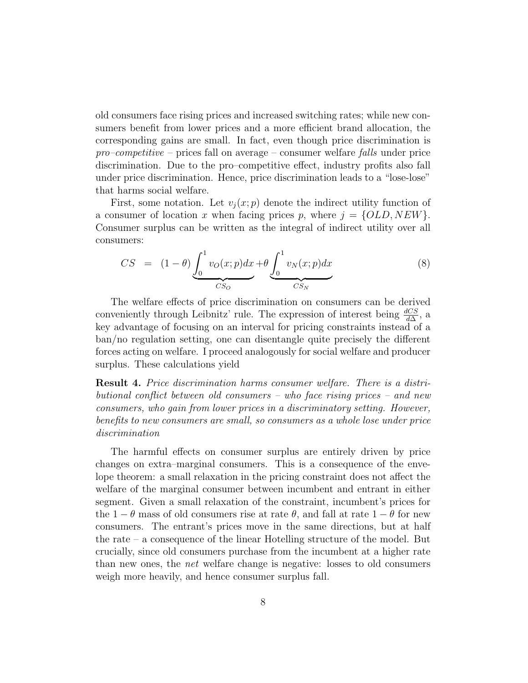old consumers face rising prices and increased switching rates; while new consumers benefit from lower prices and a more efficient brand allocation, the corresponding gains are small. In fact, even though price discrimination is  $pro-competitive$  – prices fall on average – consumer welfare falls under price discrimination. Due to the pro–competitive effect, industry profits also fall under price discrimination. Hence, price discrimination leads to a "lose-lose" that harms social welfare.

First, some notation. Let  $v_j(x; p)$  denote the indirect utility function of a consumer of location x when facing prices p, where  $j = \{OLD, NEW\}$ . Consumer surplus can be written as the integral of indirect utility over all consumers:

<span id="page-9-1"></span>
$$
CS = (1 - \theta) \underbrace{\int_0^1 v_O(x; p) dx}_{CS_O} + \theta \underbrace{\int_0^1 v_N(x; p) dx}_{CS_N}
$$
 (8)

The welfare effects of price discrimination on consumers can be derived conveniently through Leibnitz' rule. The expression of interest being  $\frac{dCS}{d\Delta}$ , a key advantage of focusing on an interval for pricing constraints instead of a ban/no regulation setting, one can disentangle quite precisely the different forces acting on welfare. I proceed analogously for social welfare and producer surplus. These calculations yield

<span id="page-9-0"></span>Result 4. Price discrimination harms consumer welfare. There is a distributional conflict between old consumers – who face rising prices – and new consumers, who gain from lower prices in a discriminatory setting. However, benefits to new consumers are small, so consumers as a whole lose under price discrimination

The harmful effects on consumer surplus are entirely driven by price changes on extra–marginal consumers. This is a consequence of the envelope theorem: a small relaxation in the pricing constraint does not affect the welfare of the marginal consumer between incumbent and entrant in either segment. Given a small relaxation of the constraint, incumbent's prices for the 1 −  $\theta$  mass of old consumers rise at rate  $\theta$ , and fall at rate 1 −  $\theta$  for new consumers. The entrant's prices move in the same directions, but at half the rate – a consequence of the linear Hotelling structure of the model. But crucially, since old consumers purchase from the incumbent at a higher rate than new ones, the net welfare change is negative: losses to old consumers weigh more heavily, and hence consumer surplus fall.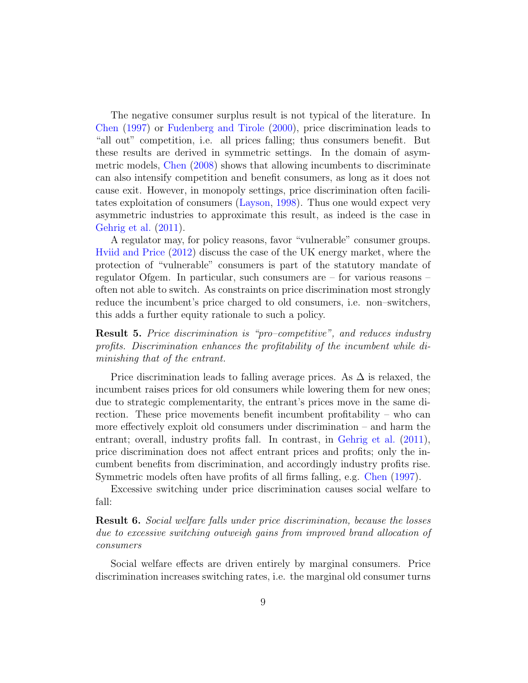The negative consumer surplus result is not typical of the literature. In [Chen](#page-17-0) [\(1997\)](#page-17-0) or [Fudenberg and Tirole](#page-18-5) [\(2000\)](#page-18-5), price discrimination leads to "all out" competition, i.e. all prices falling; thus consumers benefit. But these results are derived in symmetric settings. In the domain of asymmetric models, [Chen](#page-17-1) [\(2008\)](#page-17-1) shows that allowing incumbents to discriminate can also intensify competition and benefit consumers, as long as it does not cause exit. However, in monopoly settings, price discrimination often facilitates exploitation of consumers [\(Layson,](#page-19-6) [1998\)](#page-19-6). Thus one would expect very asymmetric industries to approximate this result, as indeed is the case in [Gehrig et al.](#page-18-4) [\(2011\)](#page-18-4).

A regulator may, for policy reasons, favor "vulnerable" consumer groups. [Hviid and Price](#page-18-8) [\(2012\)](#page-18-8) discuss the case of the UK energy market, where the protection of "vulnerable" consumers is part of the statutory mandate of regulator Ofgem. In particular, such consumers are – for various reasons – often not able to switch. As constraints on price discrimination most strongly reduce the incumbent's price charged to old consumers, i.e. non–switchers, this adds a further equity rationale to such a policy.

<span id="page-10-0"></span>Result 5. Price discrimination is "pro–competitive", and reduces industry profits. Discrimination enhances the profitability of the incumbent while diminishing that of the entrant.

Price discrimination leads to falling average prices. As  $\Delta$  is relaxed, the incumbent raises prices for old consumers while lowering them for new ones; due to strategic complementarity, the entrant's prices move in the same direction. These price movements benefit incumbent profitability – who can more effectively exploit old consumers under discrimination – and harm the entrant; overall, industry profits fall. In contrast, in [Gehrig et al.](#page-18-4) [\(2011\)](#page-18-4), price discrimination does not affect entrant prices and profits; only the incumbent benefits from discrimination, and accordingly industry profits rise. Symmetric models often have profits of all firms falling, e.g. [Chen](#page-17-0) [\(1997\)](#page-17-0).

Excessive switching under price discrimination causes social welfare to fall:

<span id="page-10-1"></span>Result 6. Social welfare falls under price discrimination, because the losses due to excessive switching outweigh gains from improved brand allocation of consumers

Social welfare effects are driven entirely by marginal consumers. Price discrimination increases switching rates, i.e. the marginal old consumer turns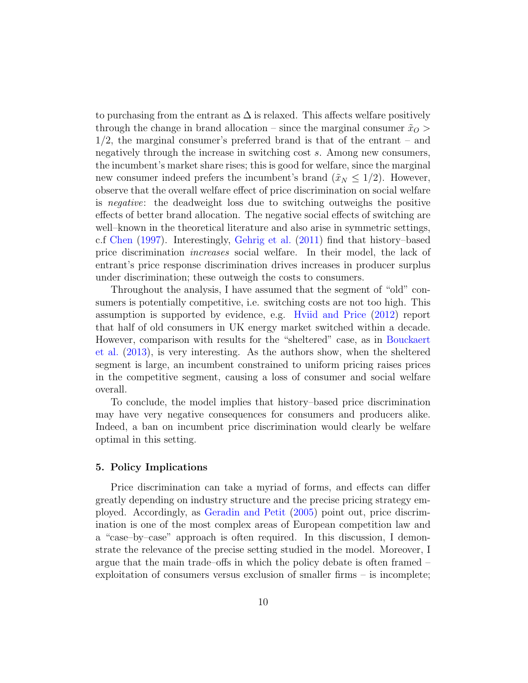to purchasing from the entrant as  $\Delta$  is relaxed. This affects welfare positively through the change in brand allocation – since the marginal consumer  $\tilde{x}_O$ 1/2, the marginal consumer's preferred brand is that of the entrant – and negatively through the increase in switching cost s. Among new consumers, the incumbent's market share rises; this is good for welfare, since the marginal new consumer indeed prefers the incumbent's brand  $(\tilde{x}_N \leq 1/2)$ . However, observe that the overall welfare effect of price discrimination on social welfare is negative: the deadweight loss due to switching outweighs the positive effects of better brand allocation. The negative social effects of switching are well–known in the theoretical literature and also arise in symmetric settings, c.f [Chen](#page-17-0) [\(1997\)](#page-17-0). Interestingly, [Gehrig et al.](#page-18-4) [\(2011\)](#page-18-4) find that history–based price discrimination increases social welfare. In their model, the lack of entrant's price response discrimination drives increases in producer surplus under discrimination; these outweigh the costs to consumers.

Throughout the analysis, I have assumed that the segment of "old" consumers is potentially competitive, i.e. switching costs are not too high. This assumption is supported by evidence, e.g. [Hviid and Price](#page-18-8) [\(2012\)](#page-18-8) report that half of old consumers in UK energy market switched within a decade. However, comparison with results for the "sheltered" case, as in [Bouckaert](#page-17-2) [et al.](#page-17-2) [\(2013\)](#page-17-2), is very interesting. As the authors show, when the sheltered segment is large, an incumbent constrained to uniform pricing raises prices in the competitive segment, causing a loss of consumer and social welfare overall.

To conclude, the model implies that history–based price discrimination may have very negative consequences for consumers and producers alike. Indeed, a ban on incumbent price discrimination would clearly be welfare optimal in this setting.

#### 5. Policy Implications

Price discrimination can take a myriad of forms, and effects can differ greatly depending on industry structure and the precise pricing strategy employed. Accordingly, as [Geradin and Petit](#page-18-9) [\(2005\)](#page-18-9) point out, price discrimination is one of the most complex areas of European competition law and a "case–by–case" approach is often required. In this discussion, I demonstrate the relevance of the precise setting studied in the model. Moreover, I argue that the main trade–offs in which the policy debate is often framed – exploitation of consumers versus exclusion of smaller firms – is incomplete;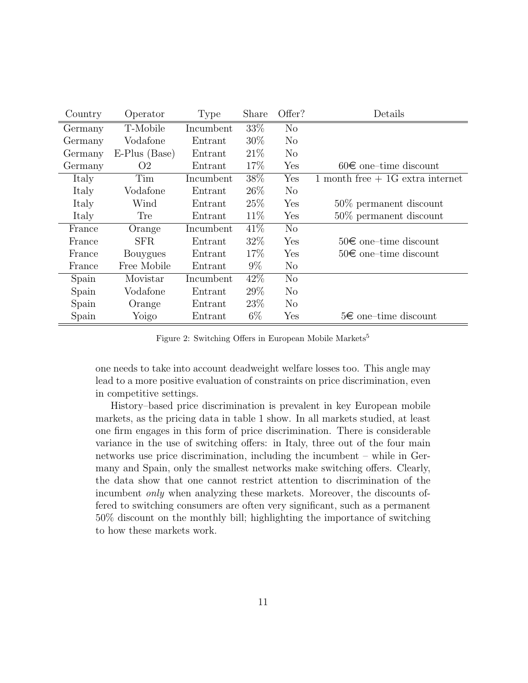| Country | Operator       | Type      | Share  | Offer?         | Details                            |
|---------|----------------|-----------|--------|----------------|------------------------------------|
| Germany | T-Mobile       | Incumbent | 33%    | N <sub>o</sub> |                                    |
| Germany | Vodafone       | Entrant   | 30%    | $\rm No$       |                                    |
| Germany | E-Plus (Base)  | Entrant   | 21\%   | N <sub>o</sub> |                                    |
| Germany | O <sub>2</sub> | Entrant   | 17\%   | Yes            | $60\epsilon$ one-time discount     |
| Italy   | Tim            | Incumbent | $38\%$ | Yes            | 1 month free $+$ 1G extra internet |
| Italy   | Vodafone       | Entrant   | 26\%   | $\rm No$       |                                    |
| Italy   | Wind           | Entrant   | 25\%   | Yes            | $50\%$ permanent discount          |
| Italy   | Tre            | Entrant   | 11%    | Yes            | $50\%$ permanent discount          |
| France  | Orange         | Incumbent | 41\%   | $\rm No$       |                                    |
| France  | SFR.           | Entrant   | 32%    | Yes            | $50\epsilon$ one-time discount     |
| France  | Bouygues       | Entrant   | 17%    | Yes            | $50\epsilon$ one-time discount     |
| France  | Free Mobile    | Entrant   | $9\%$  | $\rm No$       |                                    |
| Spain   | Movistar       | Incumbent | 42\%   | N <sub>o</sub> |                                    |
| Spain   | Vodafone       | Entrant   | 29\%   | N <sub>o</sub> |                                    |
| Spain   | Orange         | Entrant   | 23\%   | N <sub>o</sub> |                                    |
| Spain   | Yoigo          | Entrant   | $6\%$  | Yes            | 5€ one–time discount               |

Figure 2: Switching Offers in European Mobile Markets<sup>5</sup>

one needs to take into account deadweight welfare losses too. This angle may lead to a more positive evaluation of constraints on price discrimination, even in competitive settings.

History–based price discrimination is prevalent in key European mobile markets, as the pricing data in table 1 show. In all markets studied, at least one firm engages in this form of price discrimination. There is considerable variance in the use of switching offers: in Italy, three out of the four main networks use price discrimination, including the incumbent – while in Germany and Spain, only the smallest networks make switching offers. Clearly, the data show that one cannot restrict attention to discrimination of the incumbent only when analyzing these markets. Moreover, the discounts offered to switching consumers are often very significant, such as a permanent 50% discount on the monthly bill; highlighting the importance of switching to how these markets work.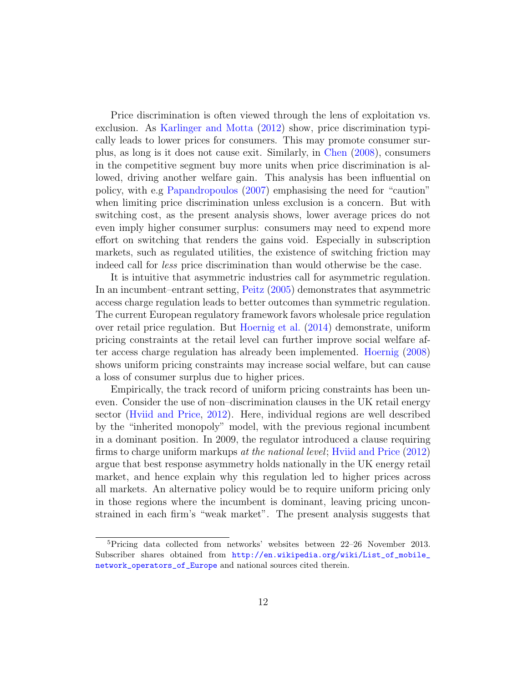Price discrimination is often viewed through the lens of exploitation vs. exclusion. As [Karlinger and Motta](#page-19-7) [\(2012\)](#page-19-7) show, price discrimination typically leads to lower prices for consumers. This may promote consumer surplus, as long is it does not cause exit. Similarly, in [Chen](#page-17-1) [\(2008\)](#page-17-1), consumers in the competitive segment buy more units when price discrimination is allowed, driving another welfare gain. This analysis has been influential on policy, with e.g [Papandropoulos](#page-19-3) [\(2007\)](#page-19-3) emphasising the need for "caution" when limiting price discrimination unless exclusion is a concern. But with switching cost, as the present analysis shows, lower average prices do not even imply higher consumer surplus: consumers may need to expend more effort on switching that renders the gains void. Especially in subscription markets, such as regulated utilities, the existence of switching friction may indeed call for less price discrimination than would otherwise be the case.

It is intuitive that asymmetric industries call for asymmetric regulation. In an incumbent–entrant setting, [Peitz](#page-19-5) [\(2005\)](#page-19-5) demonstrates that asymmetric access charge regulation leads to better outcomes than symmetric regulation. The current European regulatory framework favors wholesale price regulation over retail price regulation. But [Hoernig et al.](#page-18-10) [\(2014\)](#page-18-10) demonstrate, uniform pricing constraints at the retail level can further improve social welfare after access charge regulation has already been implemented. [Hoernig](#page-18-11) [\(2008\)](#page-18-11) shows uniform pricing constraints may increase social welfare, but can cause a loss of consumer surplus due to higher prices.

Empirically, the track record of uniform pricing constraints has been uneven. Consider the use of non–discrimination clauses in the UK retail energy sector [\(Hviid and Price,](#page-18-8) [2012\)](#page-18-8). Here, individual regions are well described by the "inherited monopoly" model, with the previous regional incumbent in a dominant position. In 2009, the regulator introduced a clause requiring firms to charge uniform markups at the national level; [Hviid and Price](#page-18-8) [\(2012\)](#page-18-8) argue that best response asymmetry holds nationally in the UK energy retail market, and hence explain why this regulation led to higher prices across all markets. An alternative policy would be to require uniform pricing only in those regions where the incumbent is dominant, leaving pricing unconstrained in each firm's "weak market". The present analysis suggests that

<sup>&</sup>lt;sup>5</sup>Pricing data collected from networks' websites between  $22-26$  November 2013. Subscriber shares obtained from [http://en.wikipedia.org/wiki/List\\_of\\_mobile\\_](http://en.wikipedia.org/wiki/List_of_mobile_network_operators_of_Europe) [network\\_operators\\_of\\_Europe](http://en.wikipedia.org/wiki/List_of_mobile_network_operators_of_Europe) and national sources cited therein.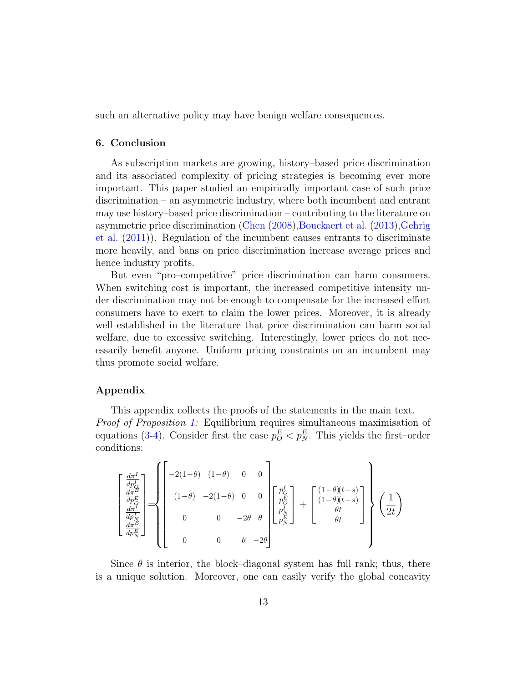such an alternative policy may have benign welfare consequences.

#### 6. Conclusion

As subscription markets are growing, history–based price discrimination and its associated complexity of pricing strategies is becoming ever more important. This paper studied an empirically important case of such price discrimination – an asymmetric industry, where both incumbent and entrant may use history–based price discrimination – contributing to the literature on asymmetric price discrimination [\(Chen](#page-17-1) [\(2008\)](#page-17-1)[,Bouckaert et al.](#page-17-2) [\(2013\)](#page-17-2)[,Gehrig](#page-18-4) [et al.](#page-18-4) [\(2011\)](#page-18-4)). Regulation of the incumbent causes entrants to discriminate more heavily, and bans on price discrimination increase average prices and hence industry profits.

But even "pro–competitive" price discrimination can harm consumers. When switching cost is important, the increased competitive intensity under discrimination may not be enough to compensate for the increased effort consumers have to exert to claim the lower prices. Moreover, it is already well established in the literature that price discrimination can harm social welfare, due to excessive switching. Interestingly, lower prices do not necessarily benefit anyone. Uniform pricing constraints on an incumbent may thus promote social welfare.

#### Appendix

This appendix collects the proofs of the statements in the main text. Proof of Proposition [1:](#page-6-0) Equilibrium requires simultaneous maximisation of equations [\(3-](#page-5-0)[4\)](#page-5-1). Consider first the case  $p_O^E < p_N^E$ . This yields the first-order conditions:

$$
\begin{bmatrix}\n\frac{d\pi^I}{dp_Q^I} \\
\frac{d\pi^E}{dp_N^E} \\
\frac{d\pi^I}{dp_N^I}\n\end{bmatrix} = \n\begin{bmatrix}\n-2(1-\theta) & (1-\theta) & 0 & 0 \\
(1-\theta) & -2(1-\theta) & 0 & 0 \\
0 & 0 & -2\theta & \theta \\
0 & 0 & 0 & -2\theta\n\end{bmatrix}\n\begin{bmatrix}\np_Q^I \\
p_Q^E \\
p_N^I \\
p_N^E\n\end{bmatrix} + \begin{bmatrix}\n(1-\theta)(t+s) \\
(1-\theta)(t-s) \\
\theta t \\
\theta t\n\end{bmatrix}\n\begin{bmatrix}\n\frac{1}{2} \\
2\theta\n\end{bmatrix}
$$

Since  $\theta$  is interior, the block–diagonal system has full rank; thus, there is a unique solution. Moreover, one can easily verify the global concavity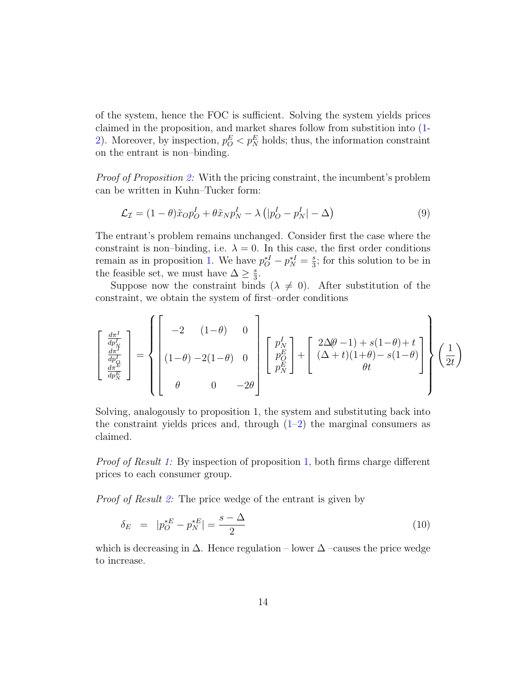of the system, hence the FOC is sufficient. Solving the system yields prices claimed in the proposition, and market shares follow from substition into [\(1-](#page-5-2) [2\)](#page-5-3). Moreover, by inspection,  $p_O^E < p_N^E$  holds; thus, the information constraint on the entrant is non–binding.

Proof of Proposition [2:](#page-7-1) With the pricing constraint, the incumbent's problem can be written in Kuhn–Tucker form:

$$
\mathcal{L}_{\mathcal{I}} = (1 - \theta)\tilde{x}_{O}p_{O}^{I} + \theta\tilde{x}_{N}p_{N}^{I} - \lambda\left(|p_{O}^{I} - p_{N}^{I}| - \Delta\right)
$$
\n(9)

The entrant's problem remains unchanged. Consider first the case where the constraint is non–binding, i.e.  $\lambda = 0$ . In this case, the first order conditions remain as in proposition [1.](#page-6-0) We have  $p_O^{*I} - p_N^{*I} = \frac{s}{3}$  $\frac{s}{3}$ ; for this solution to be in the feasible set, we must have  $\Delta \geq \frac{s}{3}$  $\frac{s}{3}$ .

Suppose now the constraint binds ( $\lambda \neq 0$ ). After substitution of the constraint, we obtain the system of first–order conditions

$$
\begin{bmatrix}\n\frac{d\pi^I}{dp_N^I} \\
\frac{d\pi^I}{dp_N^I} \\
\frac{d\pi^E}{dp_N^E}\n\end{bmatrix} = \left\{\n\begin{bmatrix}\n-2 & (1-\theta) & 0 \\
(1-\theta) & -2(1-\theta) & 0 \\
0 & 0 & -2\theta\n\end{bmatrix}\n\begin{bmatrix}\np_N^I \\
p_N^E \\
p_N^E\n\end{bmatrix} + \begin{bmatrix}\n2\Delta(\theta-1) + s(1-\theta) + t \\
(\Delta + t)(1+\theta) - s(1-\theta) \\
\theta t\n\end{bmatrix}\n\right\}\n\left(\frac{1}{2t}\right)
$$

Solving, analogously to proposition 1, the system and substituting back into the constraint yields prices and, through  $(1-2)$  $(1-2)$  the marginal consumers as claimed.

Proof of Result [1:](#page-6-1) By inspection of proposition [1,](#page-6-0) both firms charge different prices to each consumer group.

Proof of Result [2:](#page-8-0) The price wedge of the entrant is given by

$$
\delta_E = |p_O^{*E} - p_N^{*E}| = \frac{s - \Delta}{2} \tag{10}
$$

which is decreasing in  $\Delta$ . Hence regulation – lower  $\Delta$  –causes the price wedge to increase.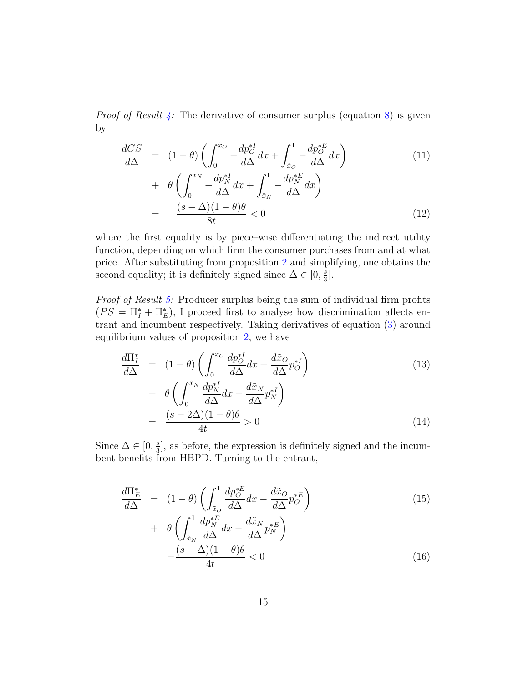*Proof of Result [4:](#page-9-0)* The derivative of consumer surplus (equation  $8$ ) is given by

$$
\frac{dCS}{d\Delta} = (1 - \theta) \left( \int_0^{\tilde{x}_O} -\frac{dp_O^{*I}}{d\Delta} dx + \int_{\tilde{x}_O}^1 -\frac{dp_O^{*E}}{d\Delta} dx \right) \n+ \theta \left( \int_0^{\tilde{x}_N} -\frac{dp_N^{*I}}{d\Delta} dx + \int_{\tilde{x}_N}^1 -\frac{dp_N^{*E}}{d\Delta} dx \right) \n= -\frac{(s - \Delta)(1 - \theta)\theta}{8t} < 0
$$
\n(12)

where the first equality is by piece–wise differentiating the indirect utility function, depending on which firm the consumer purchases from and at what price. After substituting from proposition [2](#page-7-1) and simplifying, one obtains the second equality; it is definitely signed since  $\Delta \in [0, \frac{1}{3}]$  $\frac{s}{3}$ .

Proof of Result [5:](#page-10-0) Producer surplus being the sum of individual firm profits  $(PS = \Pi_I^* + \Pi_E^*)$ , I proceed first to analyse how discrimination affects entrant and incumbent respectively. Taking derivatives of equation [\(3\)](#page-5-0) around equilibrium values of proposition [2,](#page-7-1) we have

$$
\frac{d\Pi_I^*}{d\Delta} = (1 - \theta) \left( \int_0^{\tilde{x}_O} \frac{dp_O^{*I}}{d\Delta} dx + \frac{d\tilde{x}_O}{d\Delta} p_O^{*I} \right) \n+ \theta \left( \int_0^{\tilde{x}_N} \frac{dp_N^{*I}}{d\Delta} dx + \frac{d\tilde{x}_N}{d\Delta} p_N^{*I} \right) \n= \frac{(s - 2\Delta)(1 - \theta)\theta}{4t} > 0
$$
\n(14)

Since  $\Delta \in [0, \frac{s}{3}]$  $\frac{s}{3}$ , as before, the expression is definitely signed and the incumbent benefits from HBPD. Turning to the entrant,

$$
\frac{d\Pi_E^*}{d\Delta} = (1 - \theta) \left( \int_{\tilde{x}_O}^1 \frac{dp_O^{*E}}{d\Delta} dx - \frac{d\tilde{x}_O}{d\Delta} p_O^{*E} \right) \n+ \theta \left( \int_{\tilde{x}_N}^1 \frac{dp_N^{*E}}{d\Delta} dx - \frac{d\tilde{x}_N}{d\Delta} p_N^{*E} \right) \n= -\frac{(s - \Delta)(1 - \theta)\theta}{4t} < 0
$$
\n(16)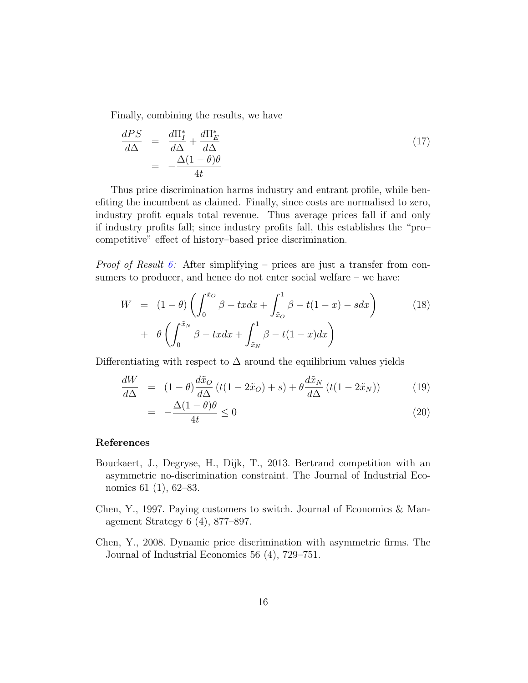Finally, combining the results, we have

$$
\frac{dPS}{d\Delta} = \frac{d\Pi_I^*}{d\Delta} + \frac{d\Pi_E^*}{d\Delta} \n= -\frac{\Delta(1-\theta)\theta}{4t}
$$
\n(17)

Thus price discrimination harms industry and entrant profile, while benefiting the incumbent as claimed. Finally, since costs are normalised to zero, industry profit equals total revenue. Thus average prices fall if and only if industry profits fall; since industry profits fall, this establishes the "pro– competitive" effect of history–based price discrimination.

*Proof of Result [6:](#page-10-1)* After simplifying – prices are just a transfer from consumers to producer, and hence do not enter social welfare – we have:

$$
W = (1 - \theta) \left( \int_0^{\tilde{x}_O} \beta - tx dx + \int_{\tilde{x}_O}^1 \beta - t(1 - x) - s dx \right) \tag{18}
$$

$$
+ \theta \left( \int_0^{\tilde{x}_N} \beta - tx dx + \int_{\tilde{x}_N}^1 \beta - t(1 - x) dx \right)
$$

Differentiating with respect to  $\Delta$  around the equilibrium values yields

$$
\frac{dW}{d\Delta} = (1 - \theta) \frac{d\tilde{x}_O}{d\Delta} (t(1 - 2\tilde{x}_O) + s) + \theta \frac{d\tilde{x}_N}{d\Delta} (t(1 - 2\tilde{x}_N))
$$
(19)

$$
= -\frac{\Delta(1-\theta)\theta}{4t} \le 0 \tag{20}
$$

## References

- <span id="page-17-2"></span>Bouckaert, J., Degryse, H., Dijk, T., 2013. Bertrand competition with an asymmetric no-discrimination constraint. The Journal of Industrial Economics 61 (1), 62–83.
- <span id="page-17-0"></span>Chen, Y., 1997. Paying customers to switch. Journal of Economics & Management Strategy 6 (4), 877–897.
- <span id="page-17-1"></span>Chen, Y., 2008. Dynamic price discrimination with asymmetric firms. The Journal of Industrial Economics 56 (4), 729–751.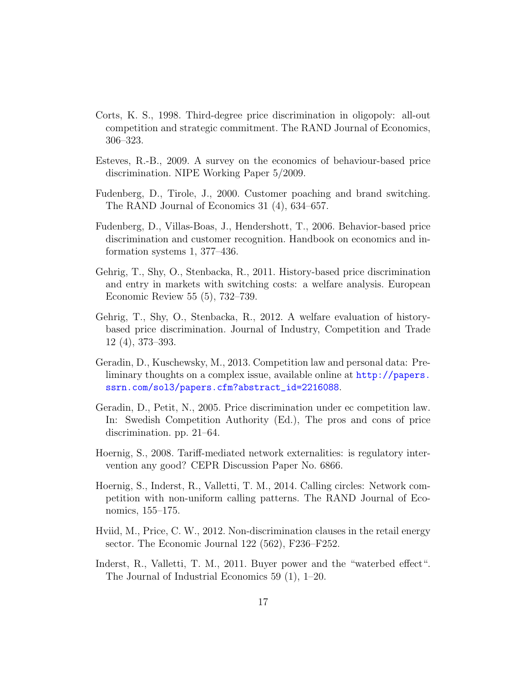- <span id="page-18-3"></span>Corts, K. S., 1998. Third-degree price discrimination in oligopoly: all-out competition and strategic commitment. The RAND Journal of Economics, 306–323.
- <span id="page-18-2"></span>Esteves, R.-B., 2009. A survey on the economics of behaviour-based price discrimination. NIPE Working Paper 5/2009.
- <span id="page-18-5"></span>Fudenberg, D., Tirole, J., 2000. Customer poaching and brand switching. The RAND Journal of Economics 31 (4), 634–657.
- <span id="page-18-1"></span>Fudenberg, D., Villas-Boas, J., Hendershott, T., 2006. Behavior-based price discrimination and customer recognition. Handbook on economics and information systems 1, 377–436.
- <span id="page-18-4"></span>Gehrig, T., Shy, O., Stenbacka, R., 2011. History-based price discrimination and entry in markets with switching costs: a welfare analysis. European Economic Review 55 (5), 732–739.
- <span id="page-18-0"></span>Gehrig, T., Shy, O., Stenbacka, R., 2012. A welfare evaluation of historybased price discrimination. Journal of Industry, Competition and Trade 12 (4), 373–393.
- <span id="page-18-6"></span>Geradin, D., Kuschewsky, M., 2013. Competition law and personal data: Preliminary thoughts on a complex issue, available online at [http://papers.](http://papers.ssrn.com/sol3/papers.cfm?abstract_id=2216088) [ssrn.com/sol3/papers.cfm?abstract\\_id=2216088](http://papers.ssrn.com/sol3/papers.cfm?abstract_id=2216088).
- <span id="page-18-9"></span>Geradin, D., Petit, N., 2005. Price discrimination under ec competition law. In: Swedish Competition Authority (Ed.), The pros and cons of price discrimination. pp. 21–64.
- <span id="page-18-11"></span>Hoernig, S., 2008. Tariff-mediated network externalities: is regulatory intervention any good? CEPR Discussion Paper No. 6866.
- <span id="page-18-10"></span>Hoernig, S., Inderst, R., Valletti, T. M., 2014. Calling circles: Network competition with non-uniform calling patterns. The RAND Journal of Economics, 155–175.
- <span id="page-18-8"></span>Hviid, M., Price, C. W., 2012. Non-discrimination clauses in the retail energy sector. The Economic Journal 122 (562), F236–F252.
- <span id="page-18-7"></span>Inderst, R., Valletti, T. M., 2011. Buyer power and the "waterbed effect". The Journal of Industrial Economics 59 (1), 1–20.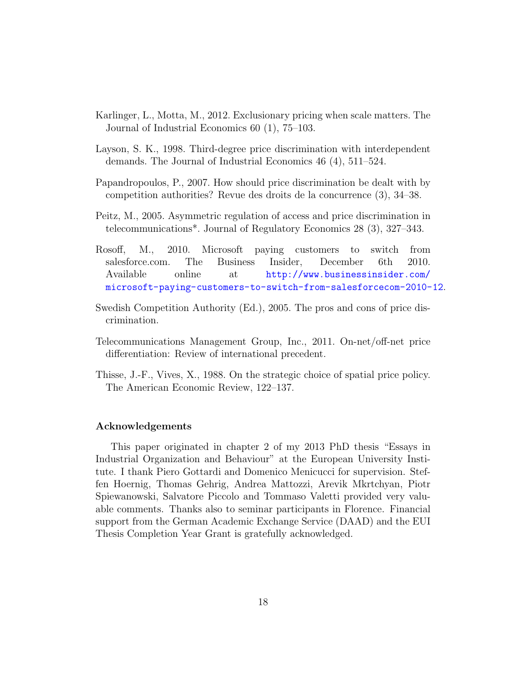- <span id="page-19-7"></span>Karlinger, L., Motta, M., 2012. Exclusionary pricing when scale matters. The Journal of Industrial Economics 60 (1), 75–103.
- <span id="page-19-6"></span>Layson, S. K., 1998. Third-degree price discrimination with interdependent demands. The Journal of Industrial Economics 46 (4), 511–524.
- <span id="page-19-3"></span>Papandropoulos, P., 2007. How should price discrimination be dealt with by competition authorities? Revue des droits de la concurrence (3), 34–38.
- <span id="page-19-5"></span>Peitz, M., 2005. Asymmetric regulation of access and price discrimination in telecommunications\*. Journal of Regulatory Economics 28 (3), 327–343.
- <span id="page-19-0"></span>Rosoff, M., 2010. Microsoft paying customers to switch from salesforce.com. The Business Insider, December 6th 2010. Available online at [http://www.businessinsider.com/](http://www.businessinsider.com/microsoft-paying-customers-to-switch-from-salesforcecom-2010-12) [microsoft-paying-customers-to-switch-from-salesforcecom-2010-12](http://www.businessinsider.com/microsoft-paying-customers-to-switch-from-salesforcecom-2010-12).
- <span id="page-19-1"></span>Swedish Competition Authority (Ed.), 2005. The pros and cons of price discrimination.
- <span id="page-19-4"></span>Telecommunications Management Group, Inc., 2011. On-net/off-net price differentiation: Review of international precedent.
- <span id="page-19-2"></span>Thisse, J.-F., Vives, X., 1988. On the strategic choice of spatial price policy. The American Economic Review, 122–137.

#### Acknowledgements

This paper originated in chapter 2 of my 2013 PhD thesis "Essays in Industrial Organization and Behaviour" at the European University Institute. I thank Piero Gottardi and Domenico Menicucci for supervision. Steffen Hoernig, Thomas Gehrig, Andrea Mattozzi, Arevik Mkrtchyan, Piotr Spiewanowski, Salvatore Piccolo and Tommaso Valetti provided very valuable comments. Thanks also to seminar participants in Florence. Financial support from the German Academic Exchange Service (DAAD) and the EUI Thesis Completion Year Grant is gratefully acknowledged.